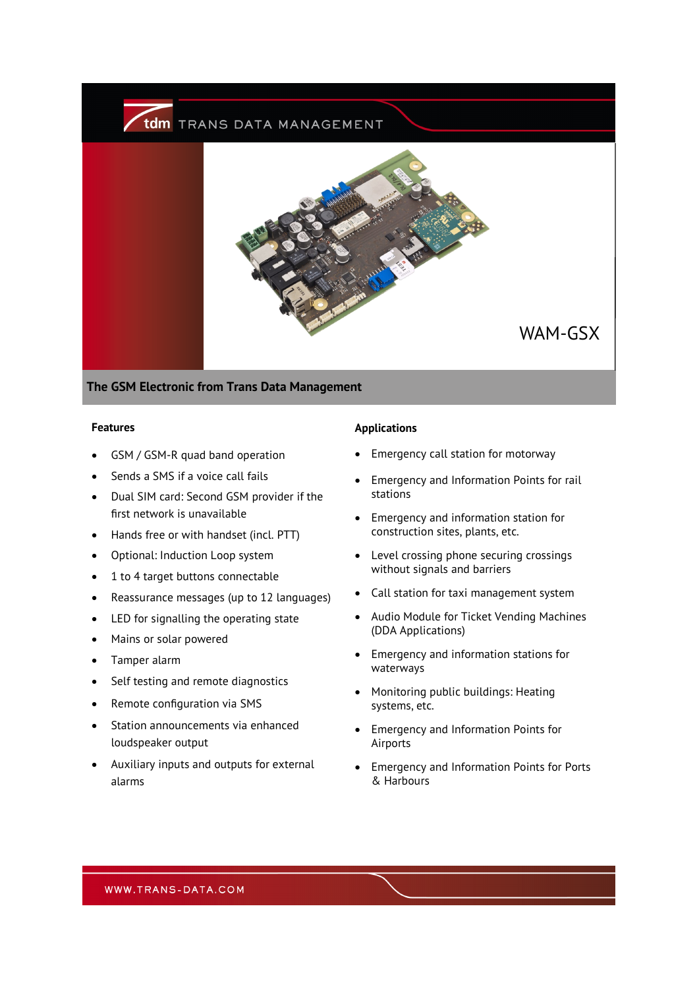

**The GSM Electronic from Trans Data Management**

#### **Features**

- GSM / GSM-R quad band operation
- Sends a SMS if a voice call fails
- Dual SIM card: Second GSM provider if the first network is unavailable
- Hands free or with handset (incl. PTT)
- Optional: Induction Loop system
- 1 to 4 target buttons connectable
- Reassurance messages (up to 12 languages)
- LED for signalling the operating state
- Mains or solar powered
- Tamper alarm
- Self testing and remote diagnostics
- Remote configuration via SMS
- Station announcements via enhanced loudspeaker output
- Auxiliary inputs and outputs for external alarms

### **Applications**

- Emergency call station for motorway
- Emergency and Information Points for rail stations
- Emergency and information station for construction sites, plants, etc.
- Level crossing phone securing crossings without signals and barriers
- Call station for taxi management system
- Audio Module for Ticket Vending Machines (DDA Applications)
- Emergency and information stations for waterways
- Monitoring public buildings: Heating systems, etc.
- Emergency and Information Points for Airports
- Emergency and Information Points for Ports & Harbours

WWW.TRANS-DATA.COM